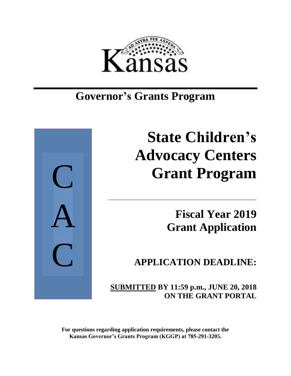

## **Governor's Grants Program**



# **State Children's Advocacy Centers Grant Program**

**Fiscal Year 2019 Grant Application**

**APPLICATION DEADLINE:**

 **SUBMITTED BY 11:59 p.m., JUNE 20, 2018 ON THE GRANT PORTAL**

\_\_\_\_\_\_\_\_\_\_\_\_\_\_\_\_\_\_\_\_\_\_\_\_\_\_\_\_\_\_\_\_\_\_\_\_\_\_\_\_\_\_\_\_\_\_\_\_\_\_\_\_

**For questions regarding application requirements, please contact the Kansas Governor's Grants Program (KGGP) at 785-291-3205.**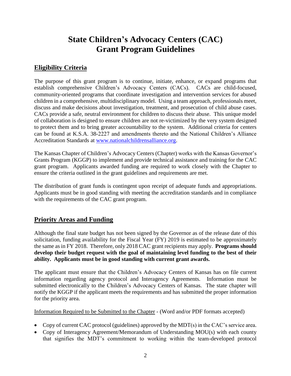## **State Children's Advocacy Centers (CAC) Grant Program Guidelines**

## **Eligibility Criteria**

The purpose of this grant program is to continue, initiate, enhance, or expand programs that establish comprehensive Children's Advocacy Centers (CACs). CACs are child-focused, community-oriented programs that coordinate investigation and intervention services for abused children in a comprehensive, multidisciplinary model. Using a team approach, professionals meet, discuss and make decisions about investigation, treatment, and prosecution of child abuse cases. CACs provide a safe, neutral environment for children to discuss their abuse. This unique model of collaboration is designed to ensure children are not re-victimized by the very system designed to protect them and to bring greater accountability to the system. Additional criteria for centers can be found at K.S.A. 38-2227 and amendments thereto and the National Children's Alliance Accreditation Standards at [www.nationalchildrensalliance.org.](http://www.nationalchildrensalliance.org/)

The Kansas Chapter of Children's Advocacy Centers (Chapter) works with the Kansas Governor's Grants Program (KGGP) to implement and provide technical assistance and training for the CAC grant program. Applicants awarded funding are required to work closely with the Chapter to ensure the criteria outlined in the grant guidelines and requirements are met.

The distribution of grant funds is contingent upon receipt of adequate funds and appropriations. Applicants must be in good standing with meeting the accreditation standards and in compliance with the requirements of the CAC grant program.

## **Priority Areas and Funding**

Although the final state budget has not been signed by the Governor as of the release date of this solicitation, funding availability for the Fiscal Year (FY) 2019 is estimated to be approximately the same as in FY 2018. Therefore, only 2018 CAC grant recipients may apply. **Programs should develop their budget request with the goal of maintaining level funding to the best of their ability. Applicants must be in good standing with current grant awards.**

The applicant must ensure that the Children's Advocacy Centers of Kansas has on file current information regarding agency protocol and Interagency Agreements. Information must be submitted electronically to the Children's Advocacy Centers of Kansas. The state chapter will notify the KGGP if the applicant meets the requirements and has submitted the proper information for the priority area.

Information Required to be Submitted to the Chapter - (Word and/or PDF formats accepted)

- Copy of current CAC protocol (guidelines) approved by the MDT(s) in the CAC's service area.
- Copy of Interagency Agreement/Memorandum of Understanding MOU(s) with each county that signifies the MDT's commitment to working within the team-developed protocol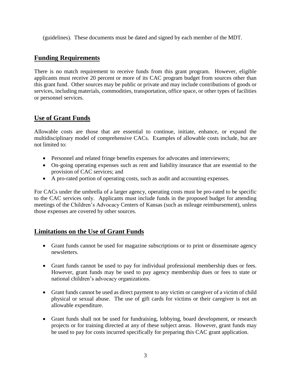(guidelines). These documents must be dated and signed by each member of the MDT.

## **Funding Requirements**

There is no match requirement to receive funds from this grant program. However, eligible applicants must receive 20 percent or more of its CAC program budget from sources other than this grant fund. Other sources may be public or private and may include contributions of goods or services, including materials, commodities, transportation, office space, or other types of facilities or personnel services.

## **Use of Grant Funds**

Allowable costs are those that are essential to continue, initiate, enhance, or expand the multidisciplinary model of comprehensive CACs. Examples of allowable costs include, but are not limited to:

- Personnel and related fringe benefits expenses for advocates and interviewers;
- On-going operating expenses such as rent and liability insurance that are essential to the provision of CAC services; and
- A pro-rated portion of operating costs, such as audit and accounting expenses.

For CACs under the umbrella of a larger agency, operating costs must be pro-rated to be specific to the CAC services only. Applicants must include funds in the proposed budget for attending meetings of the Children's Advocacy Centers of Kansas (such as mileage reimbursement), unless those expenses are covered by other sources.

## **Limitations on the Use of Grant Funds**

- Grant funds cannot be used for magazine subscriptions or to print or disseminate agency newsletters.
- Grant funds cannot be used to pay for individual professional membership dues or fees. However, grant funds may be used to pay agency membership dues or fees to state or national children's advocacy organizations.
- Grant funds cannot be used as direct payment to any victim or caregiver of a victim of child physical or sexual abuse. The use of gift cards for victims or their caregiver is not an allowable expenditure.
- Grant funds shall not be used for fundraising, lobbying, board development, or research projects or for training directed at any of these subject areas. However, grant funds may be used to pay for costs incurred specifically for preparing this CAC grant application.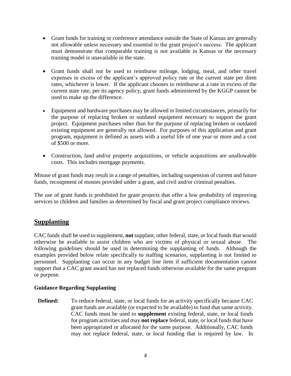- Grant funds for training or conference attendance outside the State of Kansas are generally not allowable unless necessary and essential to the grant project's success. The applicant must demonstrate that comparable training is not available in Kansas or the necessary training model is unavailable in the state.
- Grant funds shall not be used to reimburse mileage, lodging, meal, and other travel expenses in excess of the applicant's approved policy rate or the current state per diem rates, whichever is lower. If the applicant chooses to reimburse at a rate in excess of the current state rate, per its agency policy, grant funds administered by the KGGP cannot be used to make up the difference.
- Equipment and hardware purchases may be allowed in limited circumstances, primarily for the purpose of replacing broken or outdated equipment necessary to support the grant project. Equipment purchases other than for the purpose of replacing broken or outdated existing equipment are generally not allowed. For purposes of this application and grant program, equipment is defined as assets with a useful life of one year or more and a cost of \$500 or more.
- Construction, land and/or property acquisitions, or vehicle acquisitions are unallowable costs. This includes mortgage payments.

Misuse of grant funds may result in a range of penalties, including suspension of current and future funds, recoupment of monies provided under a grant, and civil and/or criminal penalties.

The use of grant funds is prohibited for grant projects that offer a low probability of improving services to children and families as determined by fiscal and grant project compliance reviews.

## **Supplanting**

CAC funds shall be used to supplement, **not** supplant, other federal, state, or local funds that would otherwise be available to assist children who are victims of physical or sexual abuse. The following guidelines should be used in determining the supplanting of funds. Although the examples provided below relate specifically to staffing scenarios, supplanting is not limited to personnel. Supplanting can occur in any budget line item if sufficient documentation cannot support that a CAC grant award has not replaced funds otherwise available for the same program or purpose.

#### **Guidance Regarding Supplanting**

**Defined:** To reduce federal, state, or local funds for an activity specifically because CAC grant funds are available (or expected to be available) to fund that same activity. CAC funds must be used to **supplement** existing federal, state, or local funds for program activities and may **not replace** federal, state, or local funds that have been appropriated or allocated for the same purpose. Additionally, CAC funds may not replace federal, state, or local funding that is required by law. In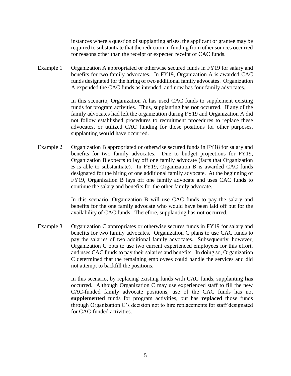instances where a question of supplanting arises, the applicant or grantee may be required to substantiate that the reduction in funding from other sources occurred for reasons other than the receipt or expected receipt of CAC funds.

Example 1 Organization A appropriated or otherwise secured funds in FY19 for salary and benefits for two family advocates. In FY19, Organization A is awarded CAC funds designated for the hiring of two additional family advocates. Organization A expended the CAC funds as intended, and now has four family advocates.

> In this scenario, Organization A has used CAC funds to supplement existing funds for program activities. Thus, supplanting has **not** occurred. If any of the family advocates had left the organization during FY19 and Organization A did not follow established procedures to recruitment procedures to replace these advocates, or utilized CAC funding for those positions for other purposes, supplanting **would** have occurred.

Example 2 Organization B appropriated or otherwise secured funds in FY18 for salary and benefits for two family advocates. Due to budget projections for FY19, Organization B expects to lay off one family advocate (facts that Organization B is able to substantiate). In FY19, Organization B is awarded CAC funds designated for the hiring of one additional family advocate. At the beginning of FY19, Organization B lays off one family advocate and uses CAC funds to continue the salary and benefits for the other family advocate.

> In this scenario, Organization B will use CAC funds to pay the salary and benefits for the one family advocate who would have been laid off but for the availability of CAC funds. Therefore, supplanting has **not** occurred.

Example 3 Organization C appropriates or otherwise secures funds in FY19 for salary and benefits for two family advocates. Organization C plans to use CAC funds to pay the salaries of two additional family advocates. Subsequently, however, Organization C opts to use two current experienced employees for this effort, and uses CAC funds to pay their salaries and benefits. In doing so, Organization C determined that the remaining employees could handle the services and did not attempt to backfill the positions.

> In this scenario, by replacing existing funds with CAC funds, supplanting **has** occurred. Although Organization C may use experienced staff to fill the new CAC-funded family advocate positions, use of the CAC funds has not **supplemented** funds for program activities, but has **replaced** those funds through Organization C's decision not to hire replacements for staff designated for CAC-funded activities.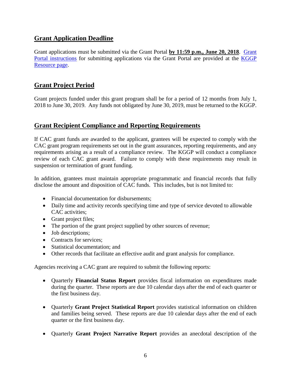## **Grant Application Deadline**

Grant applications must be submitted via the Grant Portal **by 11:59 p.m., June 20, 2018**. [Grant](http://grants.ks.gov/docs/default-source/how-to-guides/application-portal-instructions.pdf?sfvrsn=4)  [Portal instructions](http://grants.ks.gov/docs/default-source/how-to-guides/application-portal-instructions.pdf?sfvrsn=4) for submitting applications via the Grant Portal are provided at the KGGP [Resource page.](http://www.grants.ks.gov/resources/getting-started)

## **Grant Project Period**

Grant projects funded under this grant program shall be for a period of 12 months from July 1, 2018 to June 30, 2019. Any funds not obligated by June 30, 2019, must be returned to the KGGP.

## **Grant Recipient Compliance and Reporting Requirements**

If CAC grant funds are awarded to the applicant, grantees will be expected to comply with the CAC grant program requirements set out in the grant assurances, reporting requirements, and any requirements arising as a result of a compliance review. The KGGP will conduct a compliance review of each CAC grant award. Failure to comply with these requirements may result in suspension or termination of grant funding.

In addition, grantees must maintain appropriate programmatic and financial records that fully disclose the amount and disposition of CAC funds. This includes, but is not limited to:

- Financial documentation for disbursements;
- Daily time and activity records specifying time and type of service devoted to allowable CAC activities;
- Grant project files;
- The portion of the grant project supplied by other sources of revenue;
- Job descriptions;
- Contracts for services:
- Statistical documentation: and
- Other records that facilitate an effective audit and grant analysis for compliance.

Agencies receiving a CAC grant are required to submit the following reports:

- Quarterly **Financial Status Report** provides fiscal information on expenditures made during the quarter. These reports are due 10 calendar days after the end of each quarter or the first business day.
- Quarterly **Grant Project Statistical Report** provides statistical information on children and families being served. These reports are due 10 calendar days after the end of each quarter or the first business day.
- Quarterly **Grant Project Narrative Report** provides an anecdotal description of the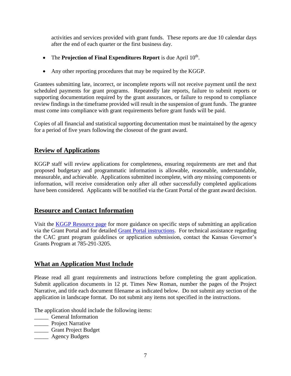activities and services provided with grant funds. These reports are due 10 calendar days after the end of each quarter or the first business day.

- The **Projection of Final Expenditures Report** is due April 10<sup>th</sup>.
- Any other reporting procedures that may be required by the KGGP.

Grantees submitting late, incorrect, or incomplete reports will not receive payment until the next scheduled payments for grant programs. Repeatedly late reports, failure to submit reports or supporting documentation required by the grant assurances, or failure to respond to compliance review findings in the timeframe provided will result in the suspension of grant funds. The grantee must come into compliance with grant requirements before grant funds will be paid.

Copies of all financial and statistical supporting documentation must be maintained by the agency for a period of five years following the closeout of the grant award.

## **Review of Applications**

KGGP staff will review applications for completeness, ensuring requirements are met and that proposed budgetary and programmatic information is allowable, reasonable, understandable, measurable, and achievable. Applications submitted incomplete, with *any* missing components or information, will receive consideration only after all other successfully completed applications have been considered. Applicants will be notified via the Grant Portal of the grant award decision.

## **Resource and Contact Information**

Visit the [KGGP Resource page](http://www.grants.ks.gov/resources/getting-started) for more guidance on specific steps of submitting an application via the Grant Portal and for detailed [Grant Portal instructions.](http://grants.ks.gov/docs/default-source/how-to-guides/application-portal-instructions.pdf?sfvrsn=4) For technical assistance regarding the CAC grant program guidelines or application submission, contact the Kansas Governor's Grants Program at 785-291-3205.

## **What an Application Must Include**

Please read all grant requirements and instructions before completing the grant application. Submit application documents in 12 pt. Times New Roman, number the pages of the Project Narrative, and title each document filename as indicated below. Do not submit any section of the application in landscape format. Do not submit any items not specified in the instructions.

The application should include the following items:

- \_\_\_\_\_ General Information
- **\_\_\_\_\_** Project Narrative
- \_\_\_\_\_ Grant Project Budget
- \_\_\_\_\_ Agency Budgets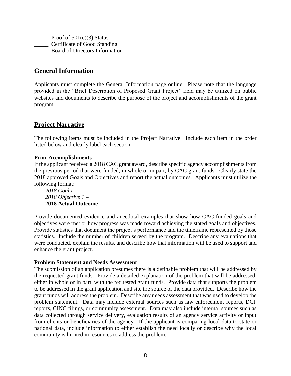**Proof of 501(c)(3) Status** \_\_\_\_\_ Certificate of Good Standing \_\_\_\_\_ Board of Directors Information

## **General Information**

Applicants must complete the General Information page online. Please note that the language provided in the "Brief Description of Proposed Grant Project" field may be utilized on public websites and documents to describe the purpose of the project and accomplishments of the grant program.

## **Project Narrative**

The following items must be included in the Project Narrative. Include each item in the order listed below and clearly label each section.

#### **Prior Accomplishments**

If the applicant received a 2018 CAC grant award, describe specific agency accomplishments from the previous period that were funded, in whole or in part, by CAC grant funds. Clearly state the 2018 approved Goals and Objectives and report the actual outcomes. Applicants must utilize the following format:

*2018 Goal I – 2018 Objective 1 –* **2018 Actual Outcome -**

Provide documented evidence and anecdotal examples that show how CAC-funded goals and objectives were met or how progress was made toward achieving the stated goals and objectives. Provide statistics that document the project's performance and the timeframe represented by those statistics. Include the number of children served by the program. Describe any evaluations that were conducted, explain the results, and describe how that information will be used to support and enhance the grant project.

#### **Problem Statement and Needs Assessment**

The submission of an application presumes there is a definable problem that will be addressed by the requested grant funds. Provide a detailed explanation of the problem that will be addressed, either in whole or in part, with the requested grant funds. Provide data that supports the problem to be addressed in the grant application and site the source of the data provided. Describe how the grant funds will address the problem. Describe any needs assessment that was used to develop the problem statement. Data may include external sources such as law enforcement reports, DCF reports, CINC filings, or community assessment. Data may also include internal sources such as data collected through service delivery, evaluation results of an agency service activity or input from clients or beneficiaries of the agency. If the applicant is comparing local data to state or national data, include information to either establish the need locally or describe why the local community is limited in resources to address the problem.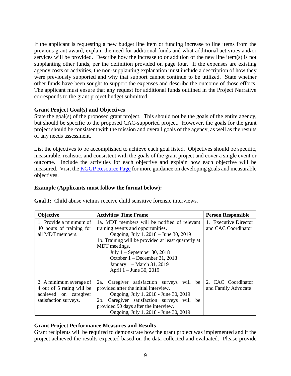If the applicant is requesting a new budget line item or funding increase to line items from the previous grant award, explain the need for additional funds and what additional activities and/or services will be provided. Describe how the increase to or addition of the new line item(s) is not supplanting other funds, per the definition provided on page four. If the expenses are existing agency costs or activities, the non-supplanting explanation must include a description of how they were previously supported and why that support cannot continue to be utilized. State whether other funds have been sought to support the expenses and describe the outcome of those efforts. The applicant must ensure that any request for additional funds outlined in the Project Narrative corresponds to the grant project budget submitted.

#### **Grant Project Goal(s) and Objectives**

State the goal(s) of the proposed grant project. This should not be the goals of the entire agency, but should be specific to the proposed CAC-supported project. However, the goals for the grant project should be consistent with the mission and overall goals of the agency, as well as the results of any needs assessment.

List the objectives to be accomplished to achieve each goal listed. Objectives should be specific, measurable, realistic, and consistent with the goals of the grant project and cover a single event or outcome. Include the activities for each objective and explain how each objective will be measured. Visit the [KGGP Resource Page](http://www.grants.ks.gov/resources/getting-started) for more guidance on developing goals and measurable objectives.

#### **Example (Applicants must follow the format below):**

| Objective                                                                                              | <b>Activities/Time Frame</b>                                                                                                                                                                                                                                                                                                     | <b>Person Responsible</b>                    |
|--------------------------------------------------------------------------------------------------------|----------------------------------------------------------------------------------------------------------------------------------------------------------------------------------------------------------------------------------------------------------------------------------------------------------------------------------|----------------------------------------------|
| 1. Provide a minimum of<br>40 hours of training for<br>all MDT members.                                | 1a. MDT members will be notified of relevant<br>training events and opportunities.<br>Ongoing, July 1, 2018 – June 30, 2019<br>1b. Training will be provided at least quarterly at<br>MDT meetings.<br>July $1$ – September 30, 2018<br>October $1 -$ December 31, 2018<br>January 1 – March 31, 2019<br>April 1 – June 30, 2019 | 1. Executive Director<br>and CAC Coordinator |
| 2. A minimum average of<br>4 out of 5 rating will be<br>achieved on caregiver<br>satisfaction surveys. | Caregiver satisfaction surveys<br>will be<br>2a.<br>provided after the initial interview.<br>Ongoing, July 1, 2018 - June 30, 2019<br>Caregiver satisfaction surveys will be<br>2b.<br>provided 90 days after the interview.<br>Ongoing, July 1, 2018 - June 30, 2019                                                            | 2. CAC Coordinator<br>and Family Advocate    |

**Goal I:** Child abuse victims receive child sensitive forensic interviews.

#### **Grant Project Performance Measures and Results**

Grant recipients will be required to demonstrate how the grant project was implemented and if the project achieved the results expected based on the data collected and evaluated. Please provide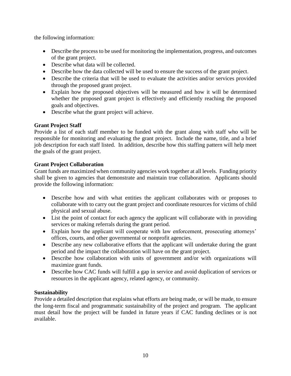the following information:

- Describe the process to be used for monitoring the implementation, progress, and outcomes of the grant project.
- Describe what data will be collected.
- Describe how the data collected will be used to ensure the success of the grant project.
- Describe the criteria that will be used to evaluate the activities and/or services provided through the proposed grant project.
- Explain how the proposed objectives will be measured and how it will be determined whether the proposed grant project is effectively and efficiently reaching the proposed goals and objectives.
- Describe what the grant project will achieve.

## **Grant Project Staff**

Provide a list of each staff member to be funded with the grant along with staff who will be responsible for monitoring and evaluating the grant project. Include the name, title, and a brief job description for each staff listed. In addition, describe how this staffing pattern will help meet the goals of the grant project.

#### **Grant Project Collaboration**

Grant funds are maximized when community agencies work together at all levels. Funding priority shall be given to agencies that demonstrate and maintain true collaboration. Applicants should provide the following information:

- Describe how and with what entities the applicant collaborates with or proposes to collaborate with to carry out the grant project and coordinate resources for victims of child physical and sexual abuse.
- List the point of contact for each agency the applicant will collaborate with in providing services or making referrals during the grant period.
- Explain how the applicant will cooperate with law enforcement, prosecuting attorneys' offices, courts, and other governmental or nonprofit agencies.
- Describe any new collaborative efforts that the applicant will undertake during the grant period and the impact the collaboration will have on the grant project.
- Describe how collaboration with units of government and/or with organizations will maximize grant funds.
- Describe how CAC funds will fulfill a gap in service and avoid duplication of services or resources in the applicant agency, related agency, or community.

#### **Sustainability**

Provide a detailed description that explains what efforts are being made, or will be made, to ensure the long-term fiscal and programmatic sustainability of the project and program. The applicant must detail how the project will be funded in future years if CAC funding declines or is not available.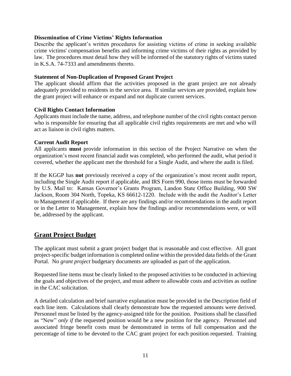#### **Dissemination of Crime Victims' Rights Information**

Describe the applicant's written procedures for assisting victims of crime in seeking available crime victims' compensation benefits and informing crime victims of their rights as provided by law. The procedures must detail how they will be informed of the statutory rights of victims stated in K.S.A. 74-7333 and amendments thereto.

#### **Statement of Non-Duplication of Proposed Grant Project**

The applicant should affirm that the activities proposed in the grant project are not already adequately provided to residents in the service area. If similar services are provided, explain how the grant project will enhance or expand and not duplicate current services.

#### **Civil Rights Contact Information**

Applicants must include the name, address, and telephone number of the civil rights contact person who is responsible for ensuring that all applicable civil rights requirements are met and who will act as liaison in civil rights matters.

#### **Current Audit Report**

All applicants **must** provide information in this section of the Project Narrative on when the organization's most recent financial audit was completed, who performed the audit, what period it covered, whether the applicant met the threshold for a Single Audit, and where the audit is filed.

If the KGGP has **not** previously received a copy of the organization's most recent audit report, including the Single Audit report if applicable, and IRS Form 990, those items must be forwarded by U.S. Mail to:Kansas Governor's Grants Program, Landon State Office Building, 900 SW Jackson, Room 304 North, Topeka, KS 66612-1220. Include with the audit the Auditor's Letter to Management if applicable. If there are any findings and/or recommendations in the audit report or in the Letter to Management, explain how the findings and/or recommendations were, or will be, addressed by the applicant.

## **Grant Project Budget**

The applicant must submit a grant project budget that is reasonable and cost effective. All grant project-specific budget information is completed online within the provided data fields of the Grant Portal. No *grant project* budgetary documents are uploaded as part of the application.

Requested line items must be clearly linked to the proposed activities to be conducted in achieving the goals and objectives of the project, and must adhere to allowable costs and activities as outline in the CAC solicitation.

A detailed calculation and brief narrative explanation must be provided in the Description field of each line item. Calculations shall clearly demonstrate how the requested amounts were derived. Personnel must be listed by the agency-assigned title for the position. Positions shall be classified as "New" *only if* the requested position would be a new position for the agency. Personnel and associated fringe benefit costs must be demonstrated in terms of full compensation and the percentage of time to be devoted to the CAC grant project for each position requested. Training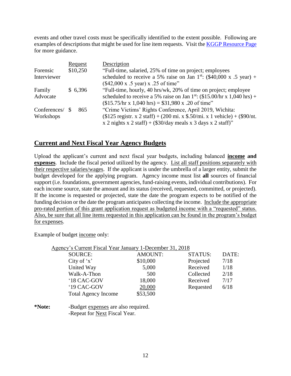events and other travel costs must be specifically identified to the extent possible. Following are examples of descriptions that might be used for line item requests. Visit the [KGGP Resource Page](http://www.grants.ks.gov/resources/getting-started) for more guidance.

|              | Request  | Description                                                                         |  |
|--------------|----------|-------------------------------------------------------------------------------------|--|
| Forensic     | \$10,250 | "Full-time, salaried, 25% of time on project; employees                             |  |
| Interviewer  |          | scheduled to receive a 5% raise on Jan 1 <sup>st</sup> : (\$40,000 x .5 year) +     |  |
|              |          | $(\$42,000 \times .5 \text{ year}) \times .25 \text{ of time}$                      |  |
| Family       | \$6,396  | "Full-time, hourly, 40 hrs/wk, 20% of time on project; employee                     |  |
| Advocate     |          | scheduled to receive a 5% raise on Jan 1 <sup>st</sup> : (\$15.00/hr x 1,040 hrs) + |  |
|              |          | $($15.75/hr x 1,040 hrs) = $31,980 x .20 of time"$                                  |  |
| Conferences/ | 865      | "Crime Victims' Rights Conference, April 2019, Wichita:                             |  |
| Workshops    |          | $($125$ registr. x 2 staff) + (200 mi. x \$.50/mi. x 1 vehicle) + (\$90/nt.         |  |
|              |          | x 2 nights x 2 staff) + $(\$30/day$ meals x 3 days x 2 staff)"                      |  |

## **Current and Next Fiscal Year Agency Budgets**

Upload the applicant's current and next fiscal year budgets, including balanced **income and expenses**. Include the fiscal period utilized by the agency. List all staff positions separately with their respective salaries/wages. If the applicant is under the umbrella of a larger entity, submit the budget developed for the applying program. Agency income must list **all** sources of financial support (i.e. foundations, government agencies, fund-raising events, individual contributions). For each income source, state the amount and its status (received, requested, committed, or projected). If the income is requested or projected, state the date the program expects to be notified of the funding decision or the date the program anticipates collecting the income. Include the appropriate pro-rated portion of this grant application request as budgeted income with a "requested" status. Also, be sure that all line items requested in this application can be found in the program's budget for expenses.

Example of budget income only:

|              | Agency's Current Fiscal Year January 1-December 31, 2018 |                |                |       |
|--------------|----------------------------------------------------------|----------------|----------------|-------|
|              | <b>SOURCE:</b>                                           | <b>AMOUNT:</b> | <b>STATUS:</b> | DATE: |
|              | City of $x'$                                             | \$10,000       | Projected      | 7/18  |
|              | United Way                                               | 5,000          | Received       | 1/18  |
|              | Walk-A-Thon                                              | 500            | Collected      | 2/18  |
|              | '18 CAC-GOV                                              | 18,000         | Received       | 7/17  |
|              | '19 CAC-GOV                                              | 20,000         | Requested      | 6/18  |
|              | <b>Total Agency Income</b>                               | \$53,500       |                |       |
| $N_{\alpha}$ | Dudaat synansas sus slag nooningd                        |                |                |       |

**\*Note:** -Budget expenses are also required. -Repeat for Next Fiscal Year.